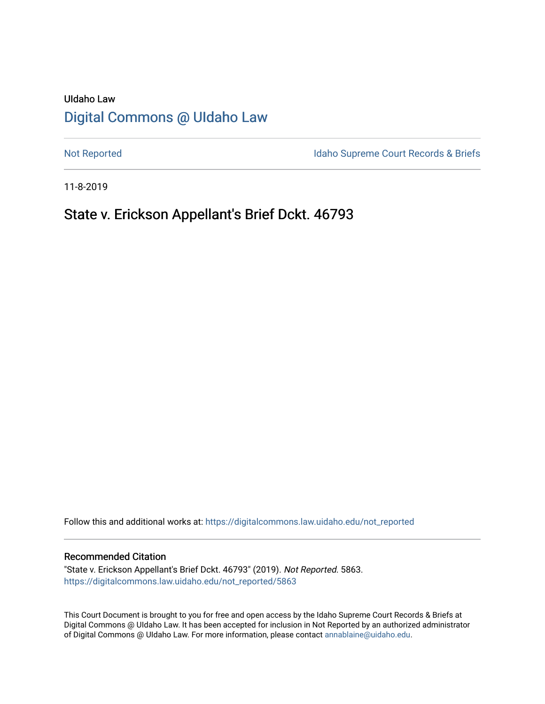# UIdaho Law [Digital Commons @ UIdaho Law](https://digitalcommons.law.uidaho.edu/)

[Not Reported](https://digitalcommons.law.uidaho.edu/not_reported) **Idaho Supreme Court Records & Briefs** 

11-8-2019

# State v. Erickson Appellant's Brief Dckt. 46793

Follow this and additional works at: [https://digitalcommons.law.uidaho.edu/not\\_reported](https://digitalcommons.law.uidaho.edu/not_reported?utm_source=digitalcommons.law.uidaho.edu%2Fnot_reported%2F5863&utm_medium=PDF&utm_campaign=PDFCoverPages) 

### Recommended Citation

"State v. Erickson Appellant's Brief Dckt. 46793" (2019). Not Reported. 5863. [https://digitalcommons.law.uidaho.edu/not\\_reported/5863](https://digitalcommons.law.uidaho.edu/not_reported/5863?utm_source=digitalcommons.law.uidaho.edu%2Fnot_reported%2F5863&utm_medium=PDF&utm_campaign=PDFCoverPages)

This Court Document is brought to you for free and open access by the Idaho Supreme Court Records & Briefs at Digital Commons @ UIdaho Law. It has been accepted for inclusion in Not Reported by an authorized administrator of Digital Commons @ UIdaho Law. For more information, please contact [annablaine@uidaho.edu](mailto:annablaine@uidaho.edu).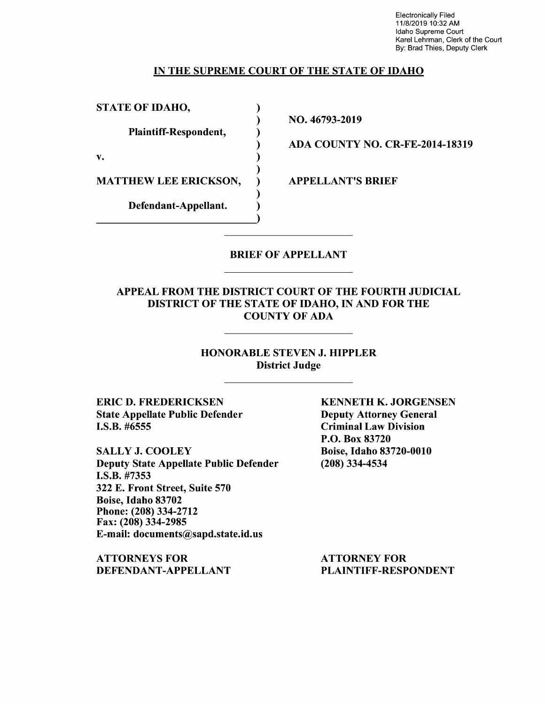Electronically Filed 11/8/2019 10:32 AM Idaho Supreme Court Karel Lehrman, Clerk of the Court By: Brad Thies, Deputy Clerk

### IN THE SUPREME COURT OF THE STATE OF IDAHO

)

)

)

)

STATE OF IDAHO,

Plaintiff-Respondent, )

 $\mathbf{v.}$  )

MATTHEW LEE ERICKSON,

Defendant-Appellant. )

NO. 46793-2019

ADA COUNTY NO. CR-FE-2014-18319

APPELLANT'S BRIEF

### BRIEF OF APPELLANT

### APPEAL FROM THE DISTRICT COURT OF THE FOURTH JUDICIAL DISTRICT OF THE STATE OF IDAHO, IN AND FOR THE COUNTY OF ADA

### HONORABLE STEVEN J. HIPPLER District Judge

ERIC D. FREDERICKSEN State Appellate Public Defender I.S.B. #6555

SALLY J. COOLEY Deputy State Appellate Public Defender **I.S.B.** #7353 322 E. Front Street, Suite 570 Boise, Idaho 83702 Phone:(208)334-2712 Fax: (208) 334-2985 E-mail: documents@sapd.state.id.us

**ATTORNEYS FOR DEFENDANT-APPELLANT**  **KENNETH K. JORGENSEN**  Deputy Attorney General Criminal Law Division P.O. Box 83720 Boise, Idaho 83720-0010 (208) 334-4534

ATTORNEY FOR PLAINTIFF-RESPONDENT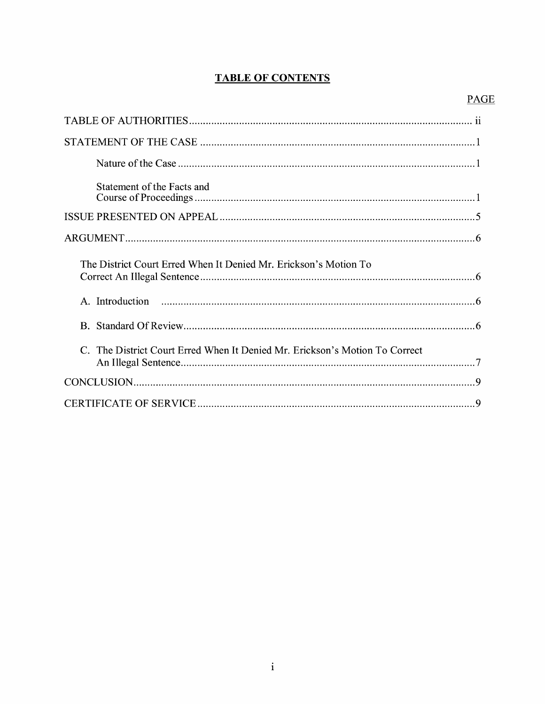## **TABLE OF CONTENTS**

## **PAGE**

| Statement of the Facts and                                                  |
|-----------------------------------------------------------------------------|
|                                                                             |
|                                                                             |
| The District Court Erred When It Denied Mr. Erickson's Motion To            |
|                                                                             |
|                                                                             |
| C. The District Court Erred When It Denied Mr. Erickson's Motion To Correct |
|                                                                             |
|                                                                             |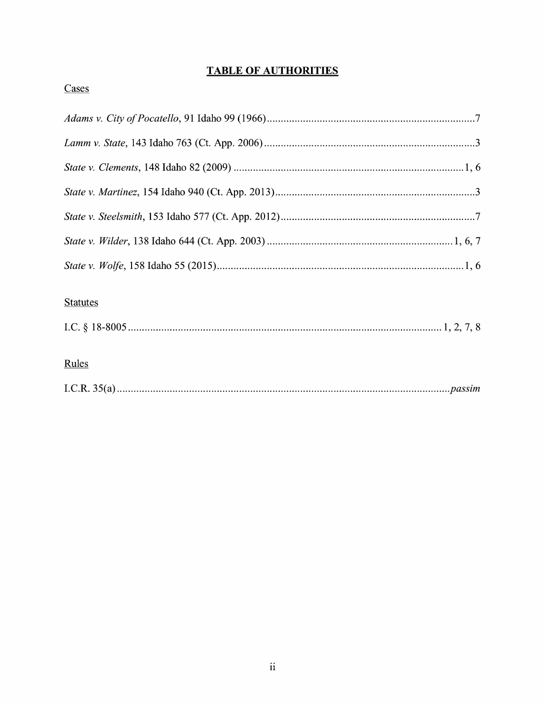## **TABLE OF AUTHORITIES**

# Cases

## **Statutes**

### Rules

|--|--|--|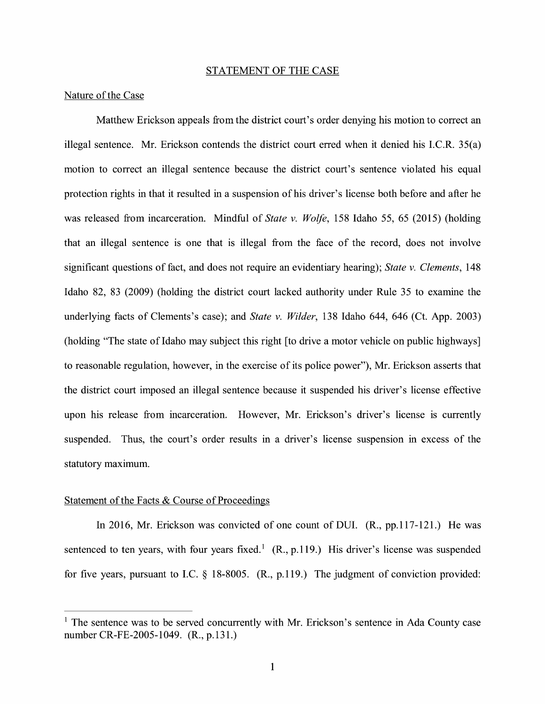#### STATEMENT OF THE CASE

### Nature of the Case

Matthew Erickson appeals from the district court's order denying his motion to correct an illegal sentence. Mr. Erickson contends the district court erred when it denied his I.C.R. 35(a) motion to correct an illegal sentence because the district court's sentence violated his equal protection rights in that it resulted in a suspension of his driver's license both before and after he was released from incarceration. Mindful of *State v. Wolfe,* 158 Idaho 55, 65 (2015) (holding that an illegal sentence is one that is illegal from the face of the record, does not involve significant questions of fact, and does not require an evidentiary hearing); *State v. Clements,* 148 Idaho 82, 83 (2009) (holding the district court lacked authority under Rule 35 to examine the underlying facts of Clements's case); and *State v. Wilder,* 138 Idaho 644, 646 (Ct. App. 2003) (holding "The state of Idaho may subject this right [to drive a motor vehicle on public highways] to reasonable regulation, however, in the exercise of its police power"), Mr. Erickson asserts that the district court imposed an illegal sentence because it suspended his driver's license effective upon his release from incarceration. However, Mr. Erickson's driver's license is currently suspended. Thus, the court's order results in a driver's license suspension in excess of the statutory maximum.

### Statement of the Facts & Course of Proceedings

In 2016, Mr. Erickson was convicted of one count of DUI. (R., pp.117-121.) He was sentenced to ten years, with four years fixed.<sup>1</sup> (R., p.119.) His driver's license was suspended for five years, pursuant to LC. § 18-8005. (R., p.119.) The judgment of conviction provided:

 $<sup>1</sup>$  The sentence was to be served concurrently with Mr. Erickson's sentence in Ada County case</sup> number CR-FE-2005-1049. (R., p.131.)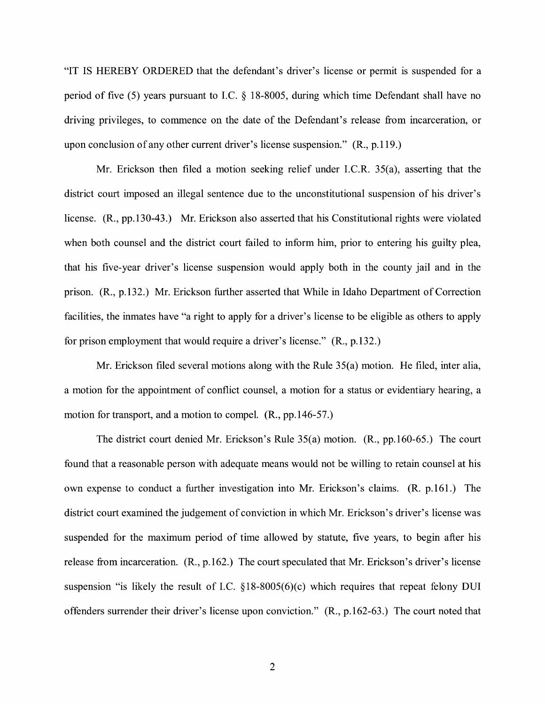"IT IS HEREBY ORDERED that the defendant's driver's license or permit is suspended for a period of five (5) years pursuant to LC. § 18-8005, during which time Defendant shall have no driving privileges, to commence on the date of the Defendant's release from incarceration, or upon conclusion of any other current driver's license suspension." (R., p.119.)

Mr. Erickson then filed a motion seeking relief under LC.R. 35(a), asserting that the district court imposed an illegal sentence due to the unconstitutional suspension of his driver's license. **(R.,** pp.130-43.) Mr. Erickson also asserted that his Constitutional rights were violated when both counsel and the district court failed to inform him, prior to entering his guilty plea, that his five-year driver's license suspension would apply both in the county jail and in the prison. **(R.,** p.132.) Mr. Erickson further asserted that While in Idaho Department of Correction facilities, the inmates have "a right to apply for a driver's license to be eligible as others to apply for prison employment that would require a driver's license." **(R.,** p.132.)

Mr. Erickson filed several motions along with the Rule 35(a) motion. He filed, inter alia, a motion for the appointment of conflict counsel, a motion for a status or evidentiary hearing, a motion for transport, and a motion to compel. **(R.,** pp.146-57.)

The district court denied Mr. Erickson's Rule 35(a) motion. (R., pp.160-65.) The court found that a reasonable person with adequate means would not be willing to retain counsel at his own expense to conduct a further investigation into Mr. Erickson's claims. (R. p.161.) The district court examined the judgement of conviction in which Mr. Erickson's driver's license was suspended for the maximum period of time allowed by statute, five years, to begin after his release from incarceration. (R., p.162.) The court speculated that Mr. Erickson's driver's license suspension "is likely the result of LC. §18-8005(6)(c) which requires that repeat felony DUI offenders surrender their driver's license upon conviction." (R., p.162-63.) The court noted that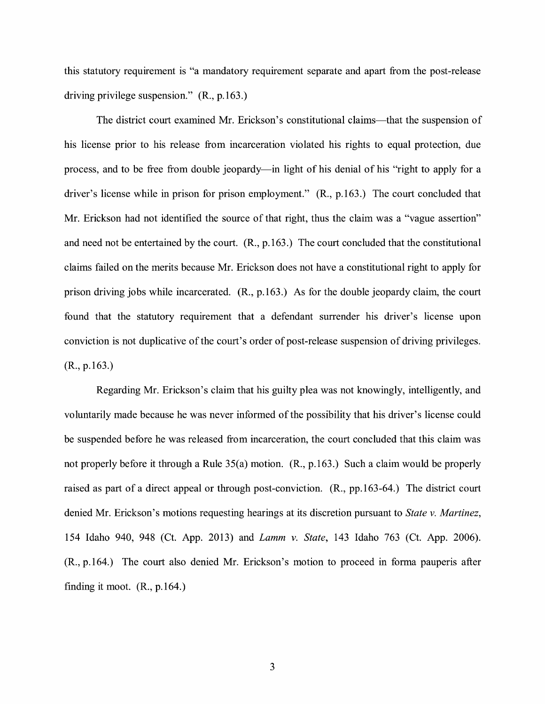this statutory requirement is "a mandatory requirement separate and apart from the post-release driving privilege suspension." **(R.,** p.163.)

The district court examined Mr. Erickson's constitutional claims—that the suspension of his license prior to his release from incarceration violated his rights to equal protection, due process, and to be free from double jeopardy—in light of his denial of his "right to apply for a driver's license while in prison for prison employment." (R., p.163.) The court concluded that Mr. Erickson had not identified the source of that right, thus the claim was a "vague assertion" and need not be entertained by the court. **(R.,** p.163.) The court concluded that the constitutional claims failed on the merits because Mr. Erickson does not have a constitutional right to apply for prison driving jobs while incarcerated. (R., p.163.) As for the double jeopardy claim, the court found that the statutory requirement that a defendant surrender his driver's license upon conviction is not duplicative of the court's order of post-release suspension of driving privileges. (R., p.163.)

Regarding Mr. Erickson's claim that his guilty plea was not knowingly, intelligently, and voluntarily made because he was never informed of the possibility that his driver's license could be suspended before he was released from incarceration, the court concluded that this claim was not properly before it through a Rule 35(a) motion. (R., p.163.) Such a claim would be properly raised as part of a direct appeal or through post-conviction. (R., pp.163-64.) The district court denied Mr. Erickson's motions requesting hearings at its discretion pursuant to *State v. Martinez,*  154 Idaho 940, 948 (Ct. App. 2013) and *Lamm v. State,* 143 Idaho 763 (Ct. App. 2006). (R., p.164.) The court also denied Mr. Erickson's motion to proceed in forma pauperis after finding it moot.  $(R., p.164.)$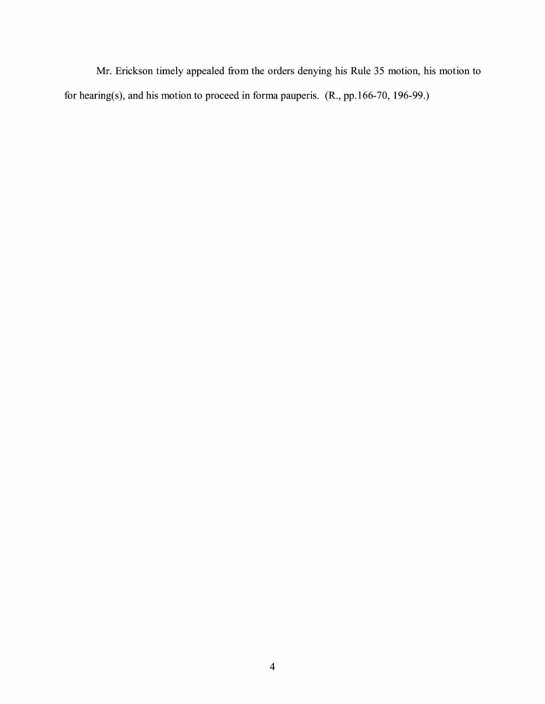Mr. Erickson timely appealed from the orders denying his Rule 35 motion, his motion to for hearing(s), and his motion to proceed in forma pauperis. (R., pp.166-70, 196-99.)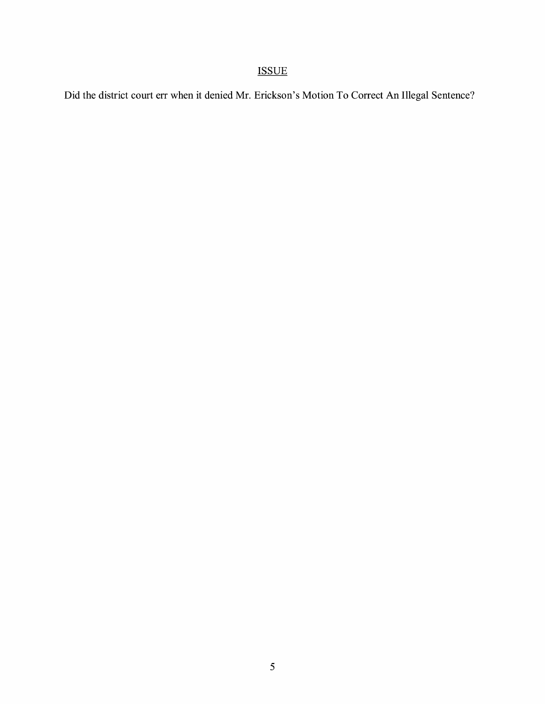# ISSUE

Did the district court err when it denied Mr. Erickson's Motion To Correct An Illegal Sentence?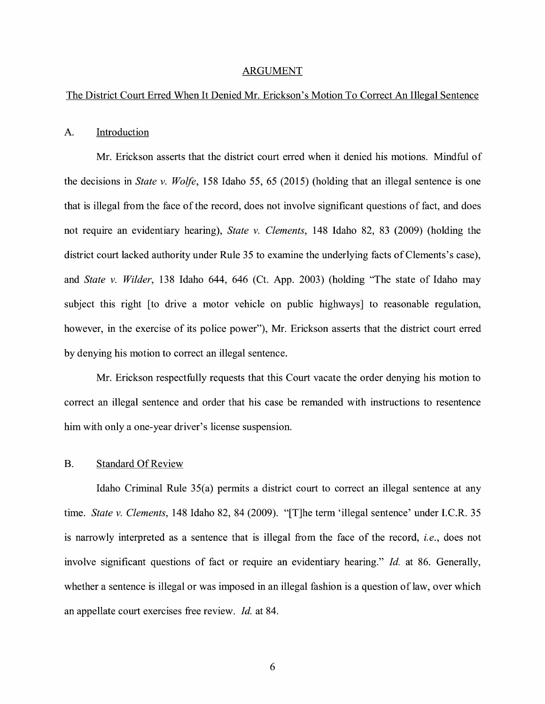#### ARGUMENT

### The District Court Erred When It Denied Mr. Erickson's Motion To Correct An Illegal Sentence

#### A. Introduction

Mr. Erickson asserts that the district court erred when it denied his motions. Mindful of the decisions in *State v. Wolfe,* 158 Idaho 55, 65 (2015) (holding that an illegal sentence is one that is illegal from the face of the record, does not involve significant questions of fact, and does not require an evidentiary hearing), *State v. Clements,* 148 Idaho 82, 83 (2009) (holding the district court lacked authority under Rule 35 to examine the underlying facts of Clements's case), and *State v. Wilder,* 138 Idaho 644, 646 (Ct. App. 2003) (holding "The state of Idaho may subject this right [to drive a motor vehicle on public highways] to reasonable regulation, however, in the exercise of its police power"), Mr. Erickson asserts that the district court erred by denying his motion to correct an illegal sentence.

Mr. Erickson respectfully requests that this Court vacate the order denying his motion to correct an illegal sentence and order that his case be remanded with instructions to resentence him with only a one-year driver's license suspension.

#### B. Standard Of Review

Idaho Criminal Rule 35(a) permits a district court to correct an illegal sentence at any time. *State v. Clements,* 148 Idaho 82, 84 (2009). "[T]he term 'illegal sentence' under I.C.R. 35 is narrowly interpreted as a sentence that is illegal from the face of the record, *i.e.,* does not involve significant questions of fact or require an evidentiary hearing." *Id.* at 86. Generally, whether a sentence is illegal or was imposed in an illegal fashion is a question of law, over which an appellate court exercises free review. *Id.* at 84.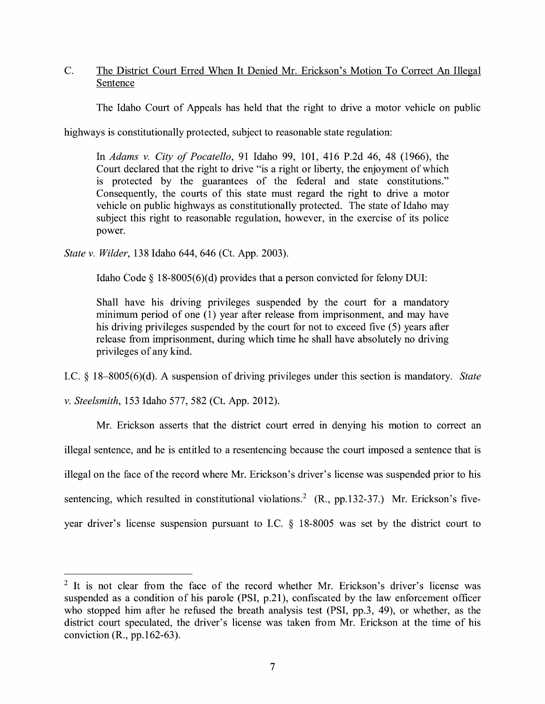C. The District Court Erred When It Denied Mr. Erickson's Motion To Correct An Illegal Sentence

The Idaho Court of Appeals has held that the right to drive a motor vehicle on public

highways is constitutionally protected, subject to reasonable state regulation:

In *Adams v. City of Pocatello,* 91 Idaho 99, 101, 416 P.2d 46, 48 (1966), the Court declared that the right to drive "is a right or liberty, the enjoyment of which is protected by the guarantees of the federal and state constitutions." Consequently, the courts of this state must regard the right to drive a motor vehicle on public highways as constitutionally protected. The state of Idaho may subject this right to reasonable regulation, however, in the exercise of its police power.

*State v. Wilder,* 138 Idaho 644, 646 (Ct. App. 2003).

Idaho Code  $\S$  18-8005(6)(d) provides that a person convicted for felony DUI:

Shall have his driving privileges suspended by the court for a mandatory minimum period of one (1) year after release from imprisonment, and may have his driving privileges suspended by the court for not to exceed five (5) years after release from imprisonment, during which time he shall have absolutely no driving privileges of any kind.

LC. § 18-8005(6)(d). A suspension of driving privileges under this section is mandatory. *State* 

*v. Steelsmith,* 153 Idaho 577, 582 (Ct. App. 2012).

Mr. Erickson asserts that the district court erred in denying his motion to correct an illegal sentence, and he is entitled to a resentencing because the court imposed a sentence that is illegal on the face of the record where Mr. Erickson's driver's license was suspended prior to his sentencing, which resulted in constitutional violations.<sup>2</sup> (R., pp.132-37.) Mr. Erickson's fiveyear driver's license suspension pursuant to LC. § 18-8005 was set by the district court to

<sup>&</sup>lt;sup>2</sup> It is not clear from the face of the record whether Mr. Erickson's driver's license was suspended as a condition of his parole (PSI, p.21), confiscated by the law enforcement officer who stopped him after he refused the breath analysis test (PSI, pp.3, 49), or whether, as the district court speculated, the driver's license was taken from Mr. Erickson at the time of his conviction  $(R., pp.162-63)$ .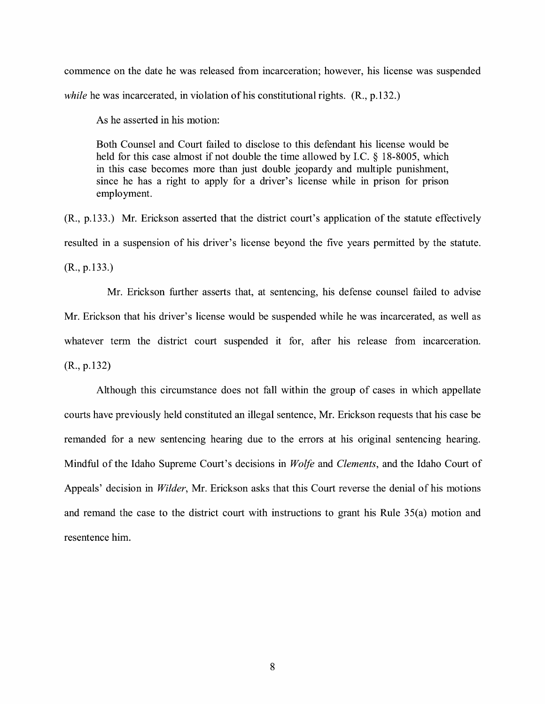commence on the date he was released from incarceration; however, his license was suspended *while* he was incarcerated, in violation of his constitutional rights. (R., p.132.)

As he asserted in his motion:

Both Counsel and Court failed to disclose to this defendant his license would be held for this case almost if not double the time allowed by LC. § 18-8005, which in this case becomes more than just double jeopardy and multiple punishment, since he has a right to apply for a driver's license while in prison for prison employment.

(R., p.133.) Mr. Erickson asserted that the district court's application of the statute effectively resulted in a suspension of his driver's license beyond the five years permitted by the statute. (R., p.133.)

Mr. Erickson further asserts that, at sentencing, his defense counsel failed to advise Mr. Erickson that his driver's license would be suspended while he was incarcerated, as well as whatever term the district court suspended it for, after his release from incarceration. (R., p.132)

Although this circumstance does not fall within the group of cases in which appellate courts have previously held constituted an illegal sentence, Mr. Erickson requests that his case be remanded for a new sentencing hearing due to the errors at his original sentencing hearing. Mindful of the Idaho Supreme Court's decisions in *Wolfe* and *Clements,* and the Idaho Court of Appeals' decision in *Wilder,* Mr. Erickson asks that this Court reverse the denial of his motions and remand the case to the district court with instructions to grant his Rule 35(a) motion and resentence him.